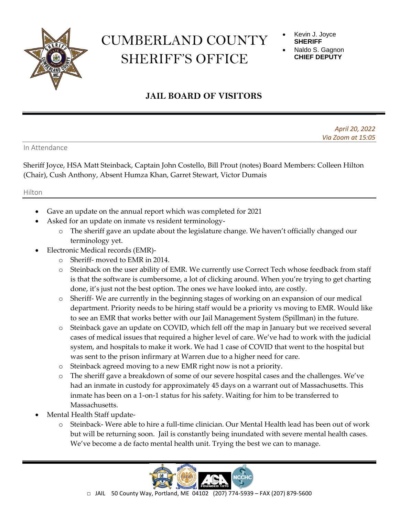

## CUMBERLAND COUNTY SHERIFF'S OFFICE

- Kevin J. Joyce **SHERIFF**
- Naldo S. Gagnon **CHIEF DEPUTY**

## **JAIL BOARD OF VISITORS**

*April 20, 2022 Via Zoom at 15:05*

In Attendance

Sheriff Joyce, HSA Matt Steinback, Captain John Costello, Bill Prout (notes) Board Members: Colleen Hilton (Chair), Cush Anthony, Absent Humza Khan, Garret Stewart, Victor Dumais

## Hilton

- Gave an update on the annual report which was completed for 2021
- Asked for an update on inmate vs resident terminology
	- o The sheriff gave an update about the legislature change. We haven't officially changed our terminology yet.
- Electronic Medical records (EMR)
	- o Sheriff- moved to EMR in 2014.
	- o Steinback on the user ability of EMR. We currently use Correct Tech whose feedback from staff is that the software is cumbersome, a lot of clicking around. When you're trying to get charting done, it's just not the best option. The ones we have looked into, are costly.
	- o Sheriff- We are currently in the beginning stages of working on an expansion of our medical department. Priority needs to be hiring staff would be a priority vs moving to EMR. Would like to see an EMR that works better with our Jail Management System (Spillman) in the future.
	- o Steinback gave an update on COVID, which fell off the map in January but we received several cases of medical issues that required a higher level of care. We've had to work with the judicial system, and hospitals to make it work. We had 1 case of COVID that went to the hospital but was sent to the prison infirmary at Warren due to a higher need for care.
	- o Steinback agreed moving to a new EMR right now is not a priority.
	- o The sheriff gave a breakdown of some of our severe hospital cases and the challenges. We've had an inmate in custody for approximately 45 days on a warrant out of Massachusetts. This inmate has been on a 1-on-1 status for his safety. Waiting for him to be transferred to Massachusetts.
- Mental Health Staff update
	- o Steinback- Were able to hire a full-time clinician. Our Mental Health lead has been out of work but will be returning soon. Jail is constantly being inundated with severe mental health cases. We've become a de facto mental health unit. Trying the best we can to manage.